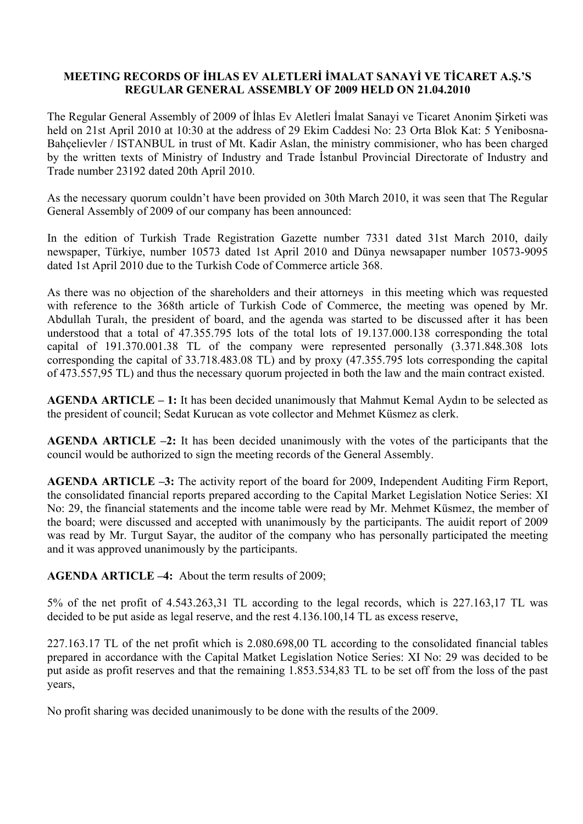## **MEETING RECORDS OF İHLAS EV ALETLERİ İMALAT SANAYİ VE TİCARET A.Ş.'S REGULAR GENERAL ASSEMBLY OF 2009 HELD ON 21.04.2010**

The Regular General Assembly of 2009 of İhlas Ev Aletleri İmalat Sanayi ve Ticaret Anonim Şirketi was held on 21st April 2010 at 10:30 at the address of 29 Ekim Caddesi No: 23 Orta Blok Kat: 5 Yenibosna-Bahçelievler / ISTANBUL in trust of Mt. Kadir Aslan, the ministry commisioner, who has been charged by the written texts of Ministry of Industry and Trade İstanbul Provincial Directorate of Industry and Trade number 23192 dated 20th April 2010.

As the necessary quorum couldn't have been provided on 30th March 2010, it was seen that The Regular General Assembly of 2009 of our company has been announced:

In the edition of Turkish Trade Registration Gazette number 7331 dated 31st March 2010, daily newspaper, Türkiye, number 10573 dated 1st April 2010 and Dünya newsapaper number 10573-9095 dated 1st April 2010 due to the Turkish Code of Commerce article 368.

As there was no objection of the shareholders and their attorneys in this meeting which was requested with reference to the 368th article of Turkish Code of Commerce, the meeting was opened by Mr. Abdullah Turalı, the president of board, and the agenda was started to be discussed after it has been understood that a total of 47.355.795 lots of the total lots of 19.137.000.138 corresponding the total capital of 191.370.001.38 TL of the company were represented personally (3.371.848.308 lots corresponding the capital of 33.718.483.08 TL) and by proxy (47.355.795 lots corresponding the capital of 473.557,95 TL) and thus the necessary quorum projected in both the law and the main contract existed.

**AGENDA ARTICLE – 1:** It has been decided unanimously that Mahmut Kemal Aydın to be selected as the president of council; Sedat Kurucan as vote collector and Mehmet Küsmez as clerk.

**AGENDA ARTICLE –2:** It has been decided unanimously with the votes of the participants that the council would be authorized to sign the meeting records of the General Assembly.

**AGENDA ARTICLE –3:** The activity report of the board for 2009, Independent Auditing Firm Report, the consolidated financial reports prepared according to the Capital Market Legislation Notice Series: XI No: 29, the financial statements and the income table were read by Mr. Mehmet Küsmez, the member of the board; were discussed and accepted with unanimously by the participants. The auidit report of 2009 was read by Mr. Turgut Sayar, the auditor of the company who has personally participated the meeting and it was approved unanimously by the participants.

**AGENDA ARTICLE –4:** About the term results of 2009;

5% of the net profit of 4.543.263,31 TL according to the legal records, which is 227.163,17 TL was decided to be put aside as legal reserve, and the rest 4.136.100,14 TL as excess reserve,

227.163.17 TL of the net profit which is 2.080.698,00 TL according to the consolidated financial tables prepared in accordance with the Capital Matket Legislation Notice Series: XI No: 29 was decided to be put aside as profit reserves and that the remaining 1.853.534,83 TL to be set off from the loss of the past years,

No profit sharing was decided unanimously to be done with the results of the 2009.